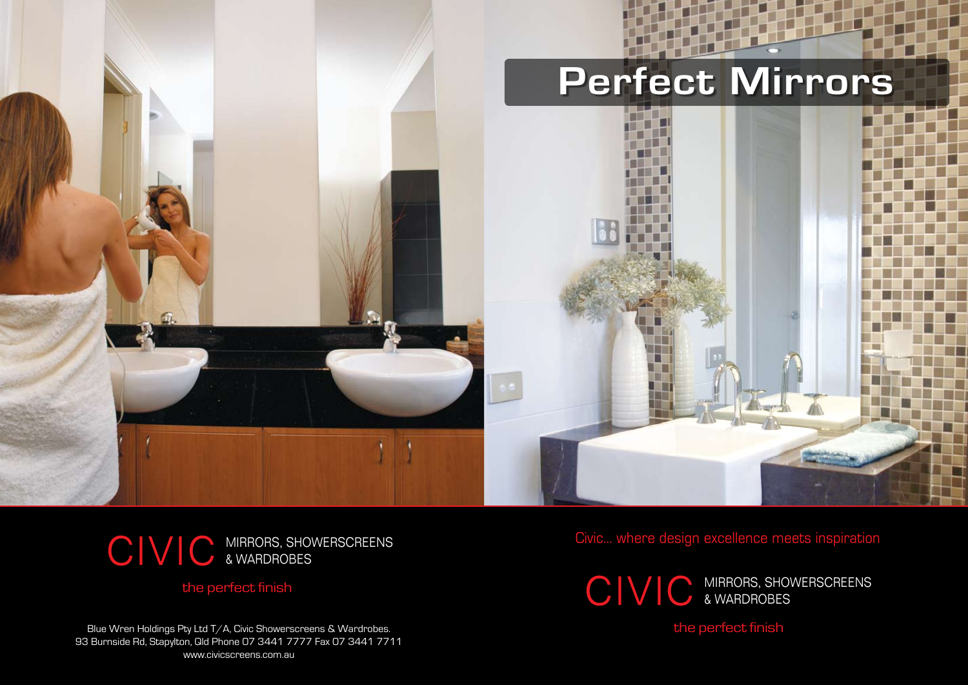

Civic... where design excellence meets inspiration

Blue Wren Holdings Pty Ltd T/A, Civic Showerscreens & Wardrobes. 93 Burnside Rd, Stapylton, Qld Phone 07 3441 7777 Fax 07 3441 7711 www.civicscreens.com.au

## CIVIC MIRRORS, SHOWERSCREENS & WARDROBES

the perfect finish

## the perfect finish



& WARDROBES